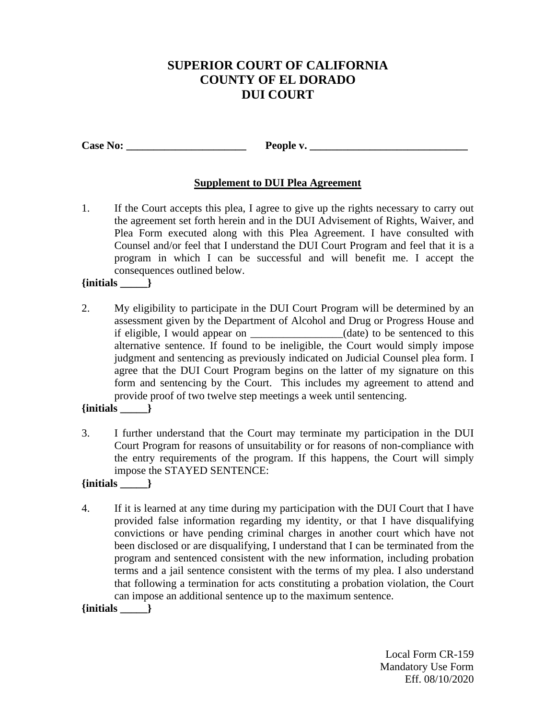# **SUPERIOR COURT OF CALIFORNIA COUNTY OF EL DORADO DUI COURT**

**Case No: \_\_\_\_\_\_\_\_\_\_\_\_\_\_\_\_\_\_\_\_\_\_ People v. \_\_\_\_\_\_\_\_\_\_\_\_\_\_\_\_\_\_\_\_\_\_\_\_\_\_\_\_\_** 

## **Supplement to DUI Plea Agreement**

1. If the Court accepts this plea, I agree to give up the rights necessary to carry out the agreement set forth herein and in the DUI Advisement of Rights, Waiver, and Plea Form executed along with this Plea Agreement. I have consulted with Counsel and/or feel that I understand the DUI Court Program and feel that it is a program in which I can be successful and will benefit me. I accept the consequences outlined below.

## **{initials \_\_\_\_\_}**

2. My eligibility to participate in the DUI Court Program will be determined by an assessment given by the Department of Alcohol and Drug or Progress House and if eligible, I would appear on \_\_\_\_\_\_\_\_\_\_\_\_\_\_\_\_\_(date) to be sentenced to this alternative sentence. If found to be ineligible, the Court would simply impose judgment and sentencing as previously indicated on Judicial Counsel plea form. I agree that the DUI Court Program begins on the latter of my signature on this form and sentencing by the Court. This includes my agreement to attend and provide proof of two twelve step meetings a week until sentencing.

## **{initials \_\_\_\_\_}**

3. I further understand that the Court may terminate my participation in the DUI Court Program for reasons of unsuitability or for reasons of non-compliance with the entry requirements of the program. If this happens, the Court will simply impose the STAYED SENTENCE:

#### **{initials \_\_\_\_\_}**

4. If it is learned at any time during my participation with the DUI Court that I have provided false information regarding my identity, or that I have disqualifying convictions or have pending criminal charges in another court which have not been disclosed or are disqualifying, I understand that I can be terminated from the program and sentenced consistent with the new information, including probation terms and a jail sentence consistent with the terms of my plea. I also understand that following a termination for acts constituting a probation violation, the Court can impose an additional sentence up to the maximum sentence.

**{initials \_\_\_\_\_}**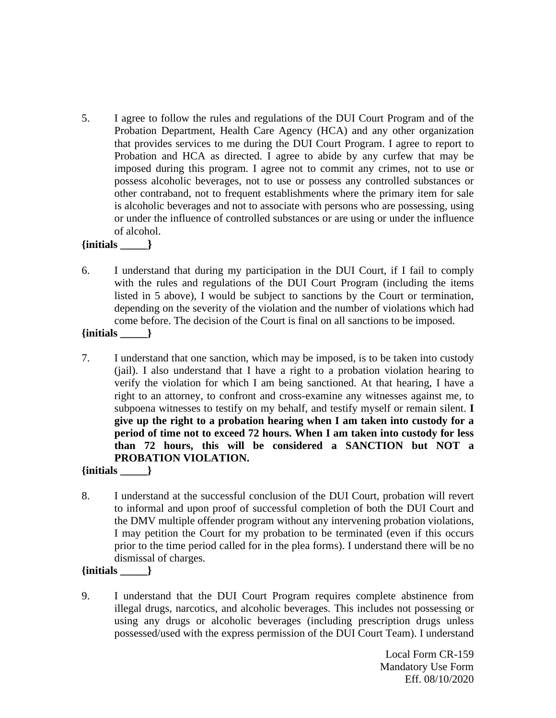5. I agree to follow the rules and regulations of the DUI Court Program and of the Probation Department, Health Care Agency (HCA) and any other organization that provides services to me during the DUI Court Program. I agree to report to Probation and HCA as directed. I agree to abide by any curfew that may be imposed during this program. I agree not to commit any crimes, not to use or possess alcoholic beverages, not to use or possess any controlled substances or other contraband, not to frequent establishments where the primary item for sale is alcoholic beverages and not to associate with persons who are possessing, using or under the influence of controlled substances or are using or under the influence of alcohol.

#### **{initials \_\_\_\_\_}**

6. I understand that during my participation in the DUI Court, if I fail to comply with the rules and regulations of the DUI Court Program (including the items listed in 5 above), I would be subject to sanctions by the Court or termination, depending on the severity of the violation and the number of violations which had come before. The decision of the Court is final on all sanctions to be imposed.

**{initials \_\_\_\_\_}**

7. I understand that one sanction, which may be imposed, is to be taken into custody (jail). I also understand that I have a right to a probation violation hearing to verify the violation for which I am being sanctioned. At that hearing, I have a right to an attorney, to confront and cross-examine any witnesses against me, to subpoena witnesses to testify on my behalf, and testify myself or remain silent. **I give up the right to a probation hearing when I am taken into custody for a period of time not to exceed 72 hours. When I am taken into custody for less than 72 hours, this will be considered a SANCTION but NOT a PROBATION VIOLATION.**

#### **{initials \_\_\_\_\_}**

8. I understand at the successful conclusion of the DUI Court, probation will revert to informal and upon proof of successful completion of both the DUI Court and the DMV multiple offender program without any intervening probation violations, I may petition the Court for my probation to be terminated (even if this occurs prior to the time period called for in the plea forms). I understand there will be no dismissal of charges.

## **{initials \_\_\_\_\_}**

9. I understand that the DUI Court Program requires complete abstinence from illegal drugs, narcotics, and alcoholic beverages. This includes not possessing or using any drugs or alcoholic beverages (including prescription drugs unless possessed/used with the express permission of the DUI Court Team). I understand

> Local Form CR-159 Mandatory Use Form Eff. 08/10/2020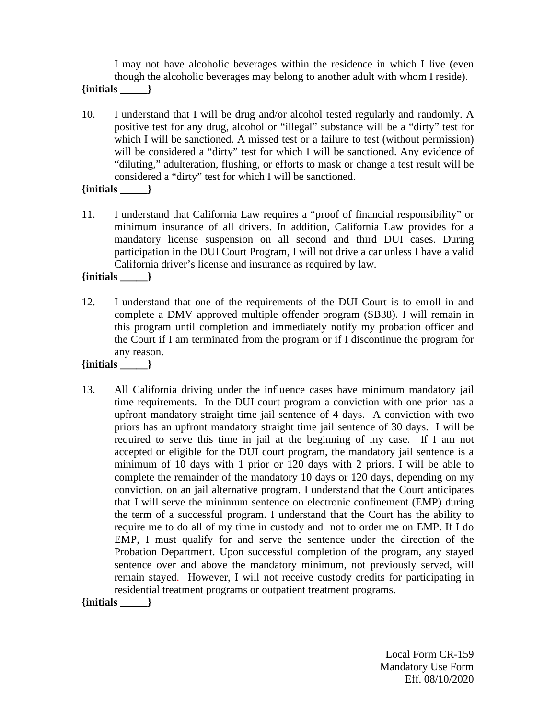I may not have alcoholic beverages within the residence in which I live (even though the alcoholic beverages may belong to another adult with whom I reside). **{initials \_\_\_\_\_}**

- 10. I understand that I will be drug and/or alcohol tested regularly and randomly. A positive test for any drug, alcohol or "illegal" substance will be a "dirty" test for which I will be sanctioned. A missed test or a failure to test (without permission) will be considered a "dirty" test for which I will be sanctioned. Any evidence of "diluting," adulteration, flushing, or efforts to mask or change a test result will be considered a "dirty" test for which I will be sanctioned.
- **{initials \_\_\_\_\_}**
- 11. I understand that California Law requires a "proof of financial responsibility" or minimum insurance of all drivers. In addition, California Law provides for a mandatory license suspension on all second and third DUI cases. During participation in the DUI Court Program, I will not drive a car unless I have a valid California driver's license and insurance as required by law.
- **{initials \_\_\_\_\_}**
- 12. I understand that one of the requirements of the DUI Court is to enroll in and complete a DMV approved multiple offender program (SB38). I will remain in this program until completion and immediately notify my probation officer and the Court if I am terminated from the program or if I discontinue the program for any reason.

#### **{initials \_\_\_\_\_}**

13. All California driving under the influence cases have minimum mandatory jail time requirements. In the DUI court program a conviction with one prior has a upfront mandatory straight time jail sentence of 4 days. A conviction with two priors has an upfront mandatory straight time jail sentence of 30 days. I will be required to serve this time in jail at the beginning of my case. If I am not accepted or eligible for the DUI court program, the mandatory jail sentence is a minimum of 10 days with 1 prior or 120 days with 2 priors. I will be able to complete the remainder of the mandatory 10 days or 120 days, depending on my conviction, on an jail alternative program. I understand that the Court anticipates that I will serve the minimum sentence on electronic confinement (EMP) during the term of a successful program. I understand that the Court has the ability to require me to do all of my time in custody and not to order me on EMP. If I do EMP, I must qualify for and serve the sentence under the direction of the Probation Department. Upon successful completion of the program, any stayed sentence over and above the mandatory minimum, not previously served, will remain stayed. However, I will not receive custody credits for participating in residential treatment programs or outpatient treatment programs.

**{initials \_\_\_\_\_}**

 Local Form CR-159 Mandatory Use Form Eff. 08/10/2020